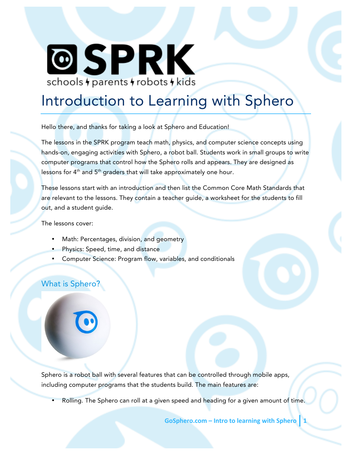# **@SPRK** schools + parents + robots + kids

# Introduction to Learning with Sphero

Hello there, and thanks for taking a look at Sphero and Education!

The lessons in the SPRK program teach math, physics, and computer science concepts using hands-on, engaging activities with Sphero, a robot ball. Students work in small groups to write computer programs that control how the Sphero rolls and appears. They are designed as lessons for  $4<sup>th</sup>$  and  $5<sup>th</sup>$  graders that will take approximately one hour.

These lessons start with an introduction and then list the Common Core Math Standards that are relevant to the lessons. They contain a teacher guide, a worksheet for the students to fill out, and a student guide.

The lessons cover:

- Math: Percentages, division, and geometry
- Physics: Speed, time, and distance
- Computer Science: Program flow, variables, and conditionals

## What is Sphero?

Sphero is a robot ball with several features that can be controlled through mobile apps, including computer programs that the students build. The main features are:

• Rolling. The Sphero can roll at a given speed and heading for a given amount of time.

**GoSphero.com** – Intro to learning with Sphero 1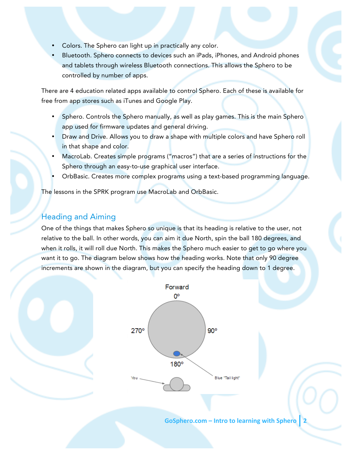- Colors. The Sphero can light up in practically any color.
- Bluetooth. Sphero connects to devices such an iPads, iPhones, and Android phones and tablets through wireless Bluetooth connections. This allows the Sphero to be controlled by number of apps.

There are 4 education related apps available to control Sphero. Each of these is available for free from app stores such as iTunes and Google Play.

- Sphero. Controls the Sphero manually, as well as play games. This is the main Sphero app used for firmware updates and general driving.
- Draw and Drive. Allows you to draw a shape with multiple colors and have Sphero roll in that shape and color.
- MacroLab. Creates simple programs ("macros") that are a series of instructions for the Sphero through an easy-to-use graphical user interface.
- OrbBasic. Creates more complex programs using a text-based programming language.

The lessons in the SPRK program use MacroLab and OrbBasic.

### Heading and Aiming

One of the things that makes Sphero so unique is that its heading is relative to the user, not relative to the ball. In other words, you can aim it due North, spin the ball 180 degrees, and when it rolls, it will roll due North. This makes the Sphero much easier to get to go where you want it to go. The diagram below shows how the heading works. Note that only 90 degree increments are shown in the diagram, but you can specify the heading down to 1 degree.



**GoSphero.com** – Intro to learning with Sphero